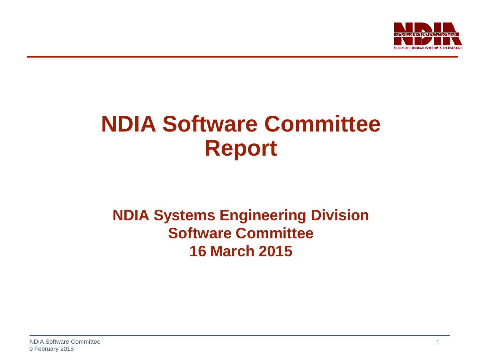

# **NDIA Software Committee Report**

#### **NDIA Systems Engineering Division Software Committee 16 March 2015**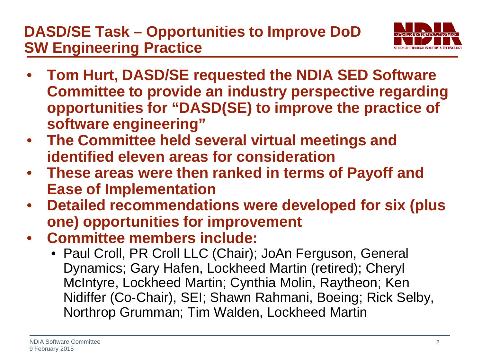#### **DASD/SE Task – Opportunities to Improve DoD SW Engineering Practice**



- **Tom Hurt, DASD/SE requested the NDIA SED Software Committee to provide an industry perspective regarding opportunities for "DASD(SE) to improve the practice of software engineering"**
- **The Committee held several virtual meetings and identified eleven areas for consideration**
- **These areas were then ranked in terms of Payoff and Ease of Implementation**
- **Detailed recommendations were developed for six (plus one) opportunities for improvement**
- **Committee members include:**
	- Paul Croll, PR Croll LLC (Chair); JoAn Ferguson, General Dynamics; Gary Hafen, Lockheed Martin (retired); Cheryl McIntyre, Lockheed Martin; Cynthia Molin, Raytheon; Ken Nidiffer (Co-Chair), SEI; Shawn Rahmani, Boeing; Rick Selby, Northrop Grumman; Tim Walden, Lockheed Martin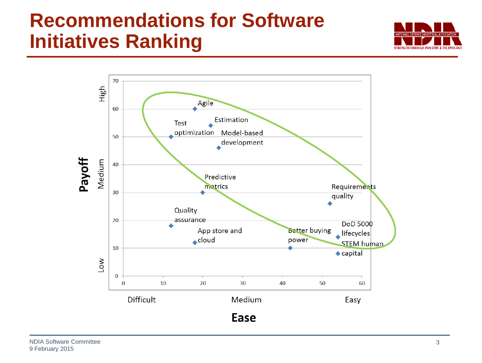## **Recommendations for Software Initiatives Ranking**



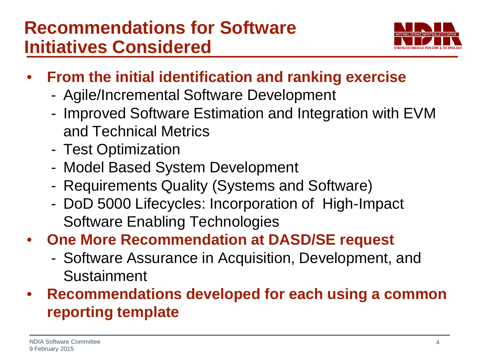

- **From the initial identification and ranking exercise**
	- Agile/Incremental Software Development
	- Improved Software Estimation and Integration with EVM and Technical Metrics
	- Test Optimization
	- Model Based System Development
	- Requirements Quality (Systems and Software)
	- DoD 5000 Lifecycles: Incorporation of High-Impact Software Enabling Technologies
- **One More Recommendation at DASD/SE request**
	- Software Assurance in Acquisition, Development, and Sustainment
- **Recommendations developed for each using a common reporting template**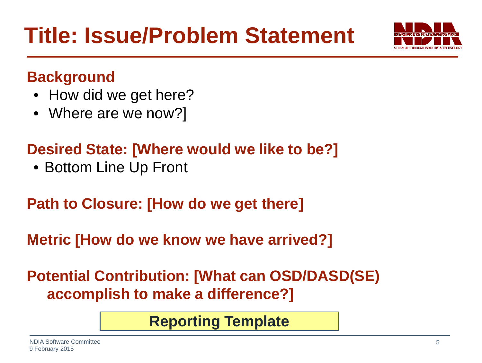

#### **Background**

- How did we get here?
- Where are we now?]

### **Desired State: [Where would we like to be?]**

• Bottom Line Up Front

#### **Path to Closure: [How do we get there]**

**Metric [How do we know we have arrived?]**

**Potential Contribution: [What can OSD/DASD(SE) accomplish to make a difference?]**

**Reporting Template**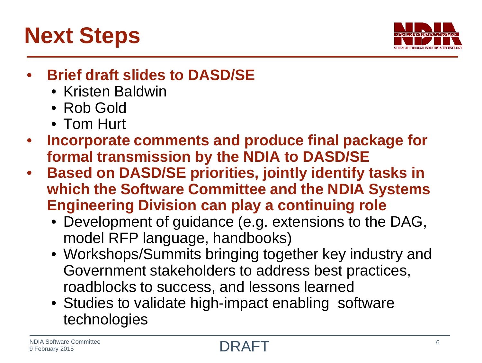



#### • **Brief draft slides to DASD/SE**

- Kristen Baldwin
- Rob Gold
- Tom Hurt
- **Incorporate comments and produce final package for formal transmission by the NDIA to DASD/SE**
- **Based on DASD/SE priorities, jointly identify tasks in which the Software Committee and the NDIA Systems Engineering Division can play a continuing role**
	- Development of guidance (e.g. extensions to the DAG, model RFP language, handbooks)
	- Workshops/Summits bringing together key industry and Government stakeholders to address best practices, roadblocks to success, and lessons learned
	- Studies to validate high-impact enabling software technologies